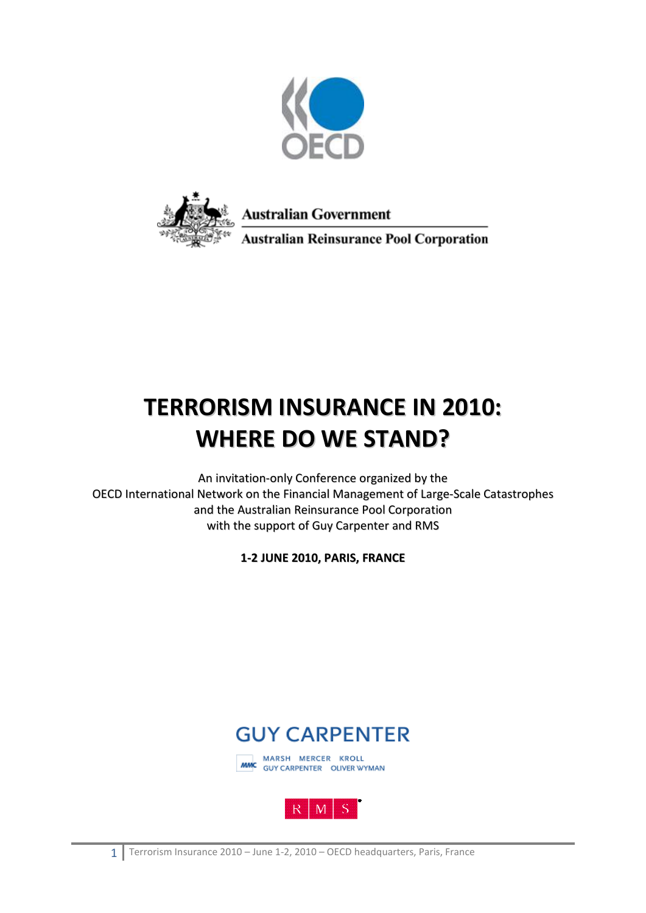



**Australian Government** 

**Australian Reinsurance Pool Corporation** 

## **TERRORISM INSURANCE IN 2010: WHERE DO WE STAND?**

An invitation-only Conference organized by the OECD International Network on the Financial Management of Large-Scale Catastrophes and the Australian Reinsurance Pool Corporation with the support of Guy Carpenter and RMS

**1-2 JUNE 2010, PARIS, FRANCE**





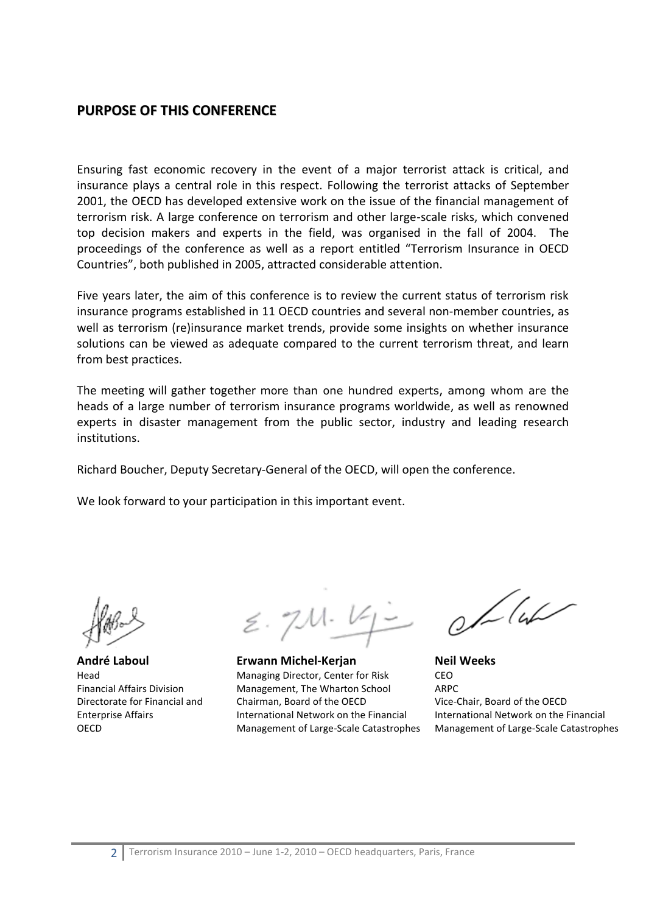## **PURPOSE OF THIS CONFERENCE**

Ensuring fast economic recovery in the event of a major terrorist attack is critical, and insurance plays a central role in this respect. Following the terrorist attacks of September 2001, the OECD has developed extensive work on the issue of the financial management of terrorism risk. A large conference on terrorism and other large-scale risks, which convened top decision makers and experts in the field, was organised in the fall of 2004. The proceedings of the conference as well as a report entitled "Terrorism Insurance in OECD Countries", both published in 2005, attracted considerable attention.

Five years later, the aim of this conference is to review the current status of terrorism risk insurance programs established in 11 OECD countries and several non-member countries, as well as terrorism (re)insurance market trends, provide some insights on whether insurance solutions can be viewed as adequate compared to the current terrorism threat, and learn from best practices.

The meeting will gather together more than one hundred experts, among whom are the heads of a large number of terrorism insurance programs worldwide, as well as renowned experts in disaster management from the public sector, industry and leading research institutions.

Richard Boucher, Deputy Secretary-General of the OECD, will open the conference.

We look forward to your participation in this important event.

**André Laboul**  Head Financial Affairs Division Directorate for Financial and Enterprise Affairs OECD

 $2.71.42$ 

**Erwann Michel-Kerjan**  Managing Director, Center for Risk Management, The Wharton School Chairman, Board of the OECD International Network on the Financial Management of Large-Scale Catastrophes

 $0/14$ 

**Neil Weeks**  CEO ARPC Vice-Chair, Board of the OECD International Network on the Financial Management of Large-Scale Catastrophes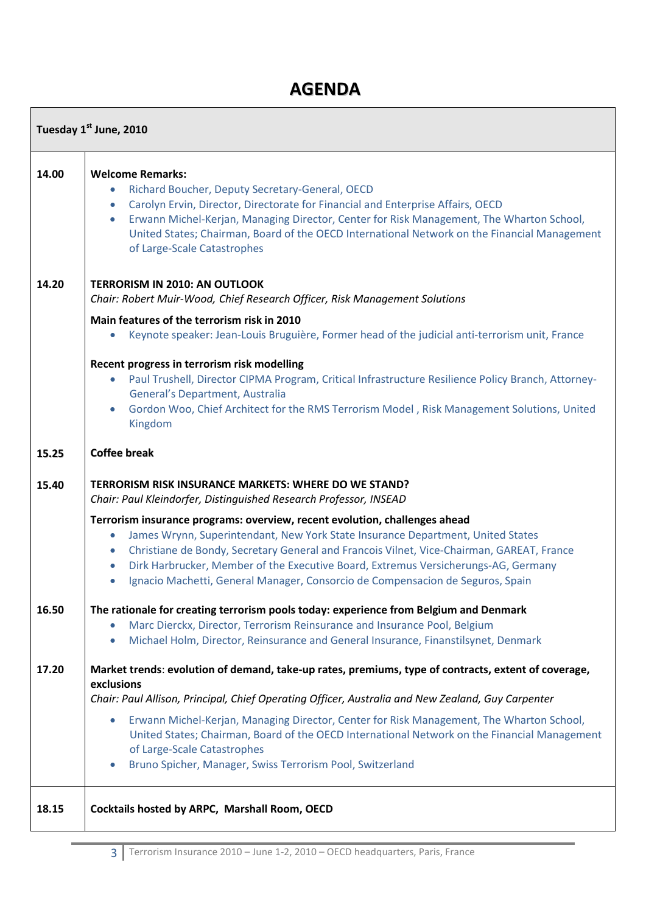## **AGENDA**

 $\Gamma$ 

| Tuesday 1st June, 2010 |                                                                                                                                                                                                                                                                                                                                                                                                                                                                                                                                                                                                  |
|------------------------|--------------------------------------------------------------------------------------------------------------------------------------------------------------------------------------------------------------------------------------------------------------------------------------------------------------------------------------------------------------------------------------------------------------------------------------------------------------------------------------------------------------------------------------------------------------------------------------------------|
| 14.00                  | <b>Welcome Remarks:</b><br>Richard Boucher, Deputy Secretary-General, OECD<br>$\bullet$<br>Carolyn Ervin, Director, Directorate for Financial and Enterprise Affairs, OECD<br>$\bullet$<br>Erwann Michel-Kerjan, Managing Director, Center for Risk Management, The Wharton School,<br>$\bullet$<br>United States; Chairman, Board of the OECD International Network on the Financial Management<br>of Large-Scale Catastrophes                                                                                                                                                                  |
| 14.20                  | <b>TERRORISM IN 2010: AN OUTLOOK</b><br>Chair: Robert Muir-Wood, Chief Research Officer, Risk Management Solutions<br>Main features of the terrorism risk in 2010<br>Keynote speaker: Jean-Louis Bruguière, Former head of the judicial anti-terrorism unit, France<br>$\bullet$<br>Recent progress in terrorism risk modelling<br>Paul Trushell, Director CIPMA Program, Critical Infrastructure Resilience Policy Branch, Attorney-<br>$\bullet$<br>General's Department, Australia<br>Gordon Woo, Chief Architect for the RMS Terrorism Model, Risk Management Solutions, United<br>$\bullet$ |
| 15.25<br>15.40         | Kingdom<br><b>Coffee break</b><br>TERRORISM RISK INSURANCE MARKETS: WHERE DO WE STAND?<br>Chair: Paul Kleindorfer, Distinguished Research Professor, INSEAD                                                                                                                                                                                                                                                                                                                                                                                                                                      |
|                        | Terrorism insurance programs: overview, recent evolution, challenges ahead<br>James Wrynn, Superintendant, New York State Insurance Department, United States<br>$\bullet$<br>Christiane de Bondy, Secretary General and Francois Vilnet, Vice-Chairman, GAREAT, France<br>$\bullet$<br>Dirk Harbrucker, Member of the Executive Board, Extremus Versicherungs-AG, Germany<br>$\bullet$<br>Ignacio Machetti, General Manager, Consorcio de Compensacion de Seguros, Spain<br>$\bullet$                                                                                                           |
| 16.50                  | The rationale for creating terrorism pools today: experience from Belgium and Denmark<br>Marc Dierckx, Director, Terrorism Reinsurance and Insurance Pool, Belgium<br>Michael Holm, Director, Reinsurance and General Insurance, Finanstilsynet, Denmark<br>$\bullet$                                                                                                                                                                                                                                                                                                                            |
| 17.20                  | Market trends: evolution of demand, take-up rates, premiums, type of contracts, extent of coverage,<br>exclusions<br>Chair: Paul Allison, Principal, Chief Operating Officer, Australia and New Zealand, Guy Carpenter<br>Erwann Michel-Kerjan, Managing Director, Center for Risk Management, The Wharton School,<br>$\bullet$<br>United States; Chairman, Board of the OECD International Network on the Financial Management<br>of Large-Scale Catastrophes<br>Bruno Spicher, Manager, Swiss Terrorism Pool, Switzerland<br>$\bullet$                                                         |
| 18.15                  | Cocktails hosted by ARPC, Marshall Room, OECD                                                                                                                                                                                                                                                                                                                                                                                                                                                                                                                                                    |